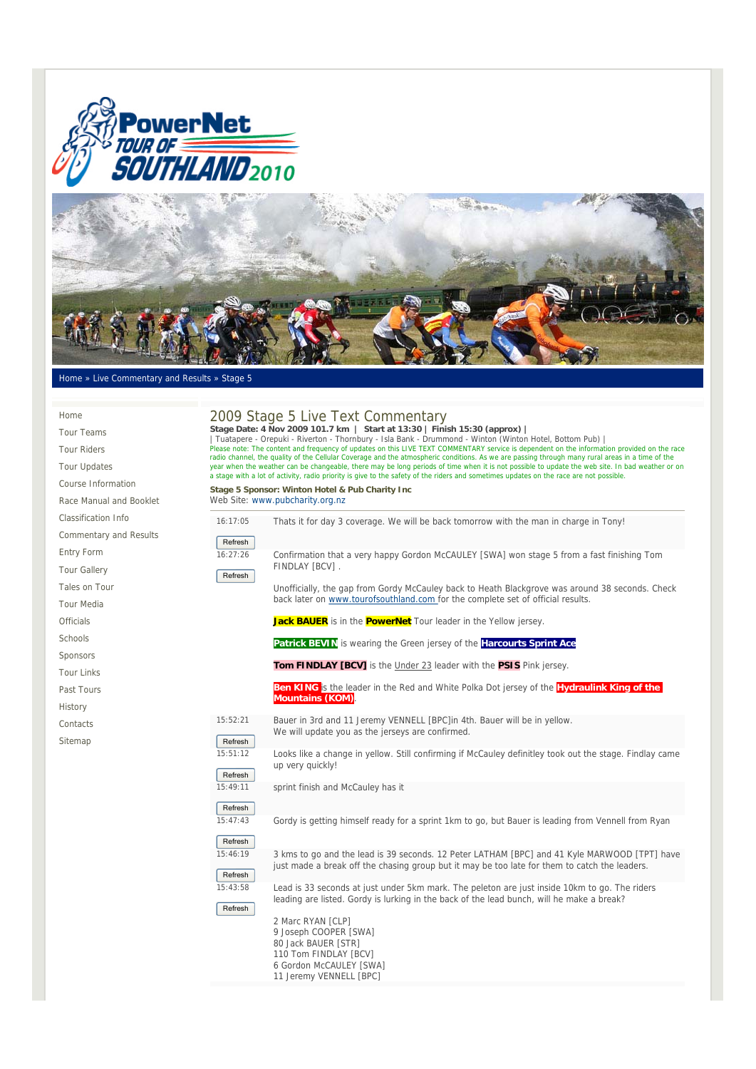



## Home » Live Commentary and Results » Stage 5

| Home                          |                                                                                                                                                                                                                                                                                                                                                                                                                                                                                                                                                                                                                                          | 2009 Stage 5 Live Text Commentary                                                                                                                                                             |  |  |
|-------------------------------|------------------------------------------------------------------------------------------------------------------------------------------------------------------------------------------------------------------------------------------------------------------------------------------------------------------------------------------------------------------------------------------------------------------------------------------------------------------------------------------------------------------------------------------------------------------------------------------------------------------------------------------|-----------------------------------------------------------------------------------------------------------------------------------------------------------------------------------------------|--|--|
| <b>Tour Teams</b>             | Stage Date: 4 Nov 2009 101.7 km   Start at 13:30   Finish 15:30 (approx)  <br>Tuatapere - Orepuki - Riverton - Thornbury - Isla Bank - Drummond - Winton (Winton Hotel, Bottom Pub)<br>Please note: The content and frequency of updates on this LIVE TEXT COMMENTARY service is dependent on the information provided on the race<br>radio channel, the quality of the Cellular Coverage and the atmospheric conditions. As we are passing through many rural areas in a time of the<br>year when the weather can be changeable, there may be long periods of time when it is not possible to update the web site. In bad weather or on |                                                                                                                                                                                               |  |  |
| <b>Tour Riders</b>            |                                                                                                                                                                                                                                                                                                                                                                                                                                                                                                                                                                                                                                          |                                                                                                                                                                                               |  |  |
| <b>Tour Updates</b>           |                                                                                                                                                                                                                                                                                                                                                                                                                                                                                                                                                                                                                                          |                                                                                                                                                                                               |  |  |
| Course Information            |                                                                                                                                                                                                                                                                                                                                                                                                                                                                                                                                                                                                                                          | a stage with a lot of activity, radio priority is give to the safety of the riders and sometimes updates on the race are not possible.<br>Stage 5 Sponsor: Winton Hotel & Pub Charity Inc     |  |  |
| Race Manual and Booklet       | Web Site: www.pubcharity.org.nz                                                                                                                                                                                                                                                                                                                                                                                                                                                                                                                                                                                                          |                                                                                                                                                                                               |  |  |
| Classification Info           | 16:17:05                                                                                                                                                                                                                                                                                                                                                                                                                                                                                                                                                                                                                                 | Thats it for day 3 coverage. We will be back tomorrow with the man in charge in Tony!                                                                                                         |  |  |
| <b>Commentary and Results</b> | Refresh                                                                                                                                                                                                                                                                                                                                                                                                                                                                                                                                                                                                                                  |                                                                                                                                                                                               |  |  |
| <b>Entry Form</b>             | 16:27:26                                                                                                                                                                                                                                                                                                                                                                                                                                                                                                                                                                                                                                 | Confirmation that a very happy Gordon McCAULEY [SWA] won stage 5 from a fast finishing Tom                                                                                                    |  |  |
| <b>Tour Gallery</b>           | Refresh                                                                                                                                                                                                                                                                                                                                                                                                                                                                                                                                                                                                                                  | FINDLAY [BCV].                                                                                                                                                                                |  |  |
| Tales on Tour                 |                                                                                                                                                                                                                                                                                                                                                                                                                                                                                                                                                                                                                                          | Unofficially, the gap from Gordy McCauley back to Heath Blackgrove was around 38 seconds. Check                                                                                               |  |  |
| <b>Tour Media</b>             |                                                                                                                                                                                                                                                                                                                                                                                                                                                                                                                                                                                                                                          | back later on www.tourofsouthland.com for the complete set of official results.                                                                                                               |  |  |
| <b>Officials</b>              |                                                                                                                                                                                                                                                                                                                                                                                                                                                                                                                                                                                                                                          | Jack BAUER is in the <b>PowerNet</b> Tour leader in the Yellow jersey.                                                                                                                        |  |  |
| Schools                       |                                                                                                                                                                                                                                                                                                                                                                                                                                                                                                                                                                                                                                          | Patrick BEVIN is wearing the Green jersey of the Harcourts Sprint Ace                                                                                                                         |  |  |
| Sponsors                      |                                                                                                                                                                                                                                                                                                                                                                                                                                                                                                                                                                                                                                          |                                                                                                                                                                                               |  |  |
| <b>Tour Links</b>             |                                                                                                                                                                                                                                                                                                                                                                                                                                                                                                                                                                                                                                          | Tom FINDLAY [BCV] is the Under 23 leader with the PSIS Pink jersey.                                                                                                                           |  |  |
| Past Tours                    |                                                                                                                                                                                                                                                                                                                                                                                                                                                                                                                                                                                                                                          | Ben KING is the leader in the Red and White Polka Dot jersey of the Hydraulink King of the                                                                                                    |  |  |
| History                       |                                                                                                                                                                                                                                                                                                                                                                                                                                                                                                                                                                                                                                          | <b>Mountains (KOM)</b>                                                                                                                                                                        |  |  |
| Contacts                      | 15:52:21                                                                                                                                                                                                                                                                                                                                                                                                                                                                                                                                                                                                                                 | Bauer in 3rd and 11 Jeremy VENNELL [BPC]in 4th. Bauer will be in yellow.<br>We will update you as the jerseys are confirmed.                                                                  |  |  |
| Sitemap                       | Refresh                                                                                                                                                                                                                                                                                                                                                                                                                                                                                                                                                                                                                                  |                                                                                                                                                                                               |  |  |
|                               | 15:51:12                                                                                                                                                                                                                                                                                                                                                                                                                                                                                                                                                                                                                                 | Looks like a change in yellow. Still confirming if McCauley definitley took out the stage. Findlay came<br>up very quickly!                                                                   |  |  |
|                               | Refresh                                                                                                                                                                                                                                                                                                                                                                                                                                                                                                                                                                                                                                  |                                                                                                                                                                                               |  |  |
|                               | 15:49:11                                                                                                                                                                                                                                                                                                                                                                                                                                                                                                                                                                                                                                 | sprint finish and McCauley has it                                                                                                                                                             |  |  |
|                               | Refresh                                                                                                                                                                                                                                                                                                                                                                                                                                                                                                                                                                                                                                  |                                                                                                                                                                                               |  |  |
|                               | 15:47:43                                                                                                                                                                                                                                                                                                                                                                                                                                                                                                                                                                                                                                 | Gordy is getting himself ready for a sprint 1km to go, but Bauer is leading from Vennell from Ryan                                                                                            |  |  |
|                               | Refresh                                                                                                                                                                                                                                                                                                                                                                                                                                                                                                                                                                                                                                  |                                                                                                                                                                                               |  |  |
|                               | 15:46:19<br>Refresh                                                                                                                                                                                                                                                                                                                                                                                                                                                                                                                                                                                                                      | 3 kms to go and the lead is 39 seconds. 12 Peter LATHAM [BPC] and 41 Kyle MARWOOD [TPT] have<br>just made a break off the chasing group but it may be too late for them to catch the leaders. |  |  |
|                               | 15:43:58                                                                                                                                                                                                                                                                                                                                                                                                                                                                                                                                                                                                                                 | Lead is 33 seconds at just under 5km mark. The peleton are just inside 10km to go. The riders<br>leading are listed. Gordy is lurking in the back of the lead bunch, will he make a break?    |  |  |
|                               | Refresh                                                                                                                                                                                                                                                                                                                                                                                                                                                                                                                                                                                                                                  | 2 Marc RYAN [CLP]<br>9 Joseph COOPER [SWA]<br>00 Issl. DAUED FOTO1                                                                                                                            |  |  |

80 Jack BAUER [STR] 110 Tom FINDLAY [BCV] 6 Gordon McCAULEY [SWA] 11 Jeremy VENNELL [BPC]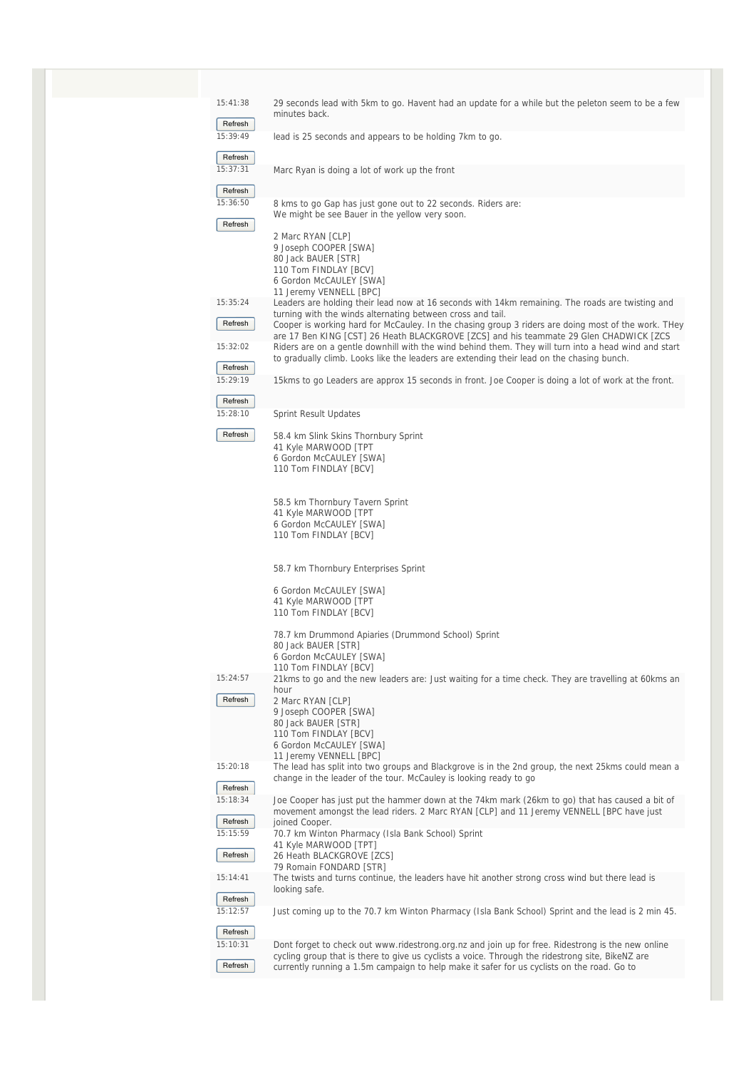| 15:41:38            | 29 seconds lead with 5km to go. Havent had an update for a while but the peleton seem to be a few<br>minutes back.                                                                             |
|---------------------|------------------------------------------------------------------------------------------------------------------------------------------------------------------------------------------------|
| Refresh             |                                                                                                                                                                                                |
| 15:39:49            | lead is 25 seconds and appears to be holding 7km to go.                                                                                                                                        |
| Refresh<br>15:37:31 |                                                                                                                                                                                                |
|                     | Marc Ryan is doing a lot of work up the front                                                                                                                                                  |
| Refresh<br>15:36:50 | 8 kms to go Gap has just gone out to 22 seconds. Riders are:                                                                                                                                   |
|                     | We might be see Bauer in the yellow very soon.                                                                                                                                                 |
| Refresh             | 2 Marc RYAN [CLP]                                                                                                                                                                              |
|                     | 9 Joseph COOPER [SWA]<br>80 Jack BAUER [STR]                                                                                                                                                   |
|                     | 110 Tom FINDLAY [BCV]                                                                                                                                                                          |
|                     | 6 Gordon McCAULEY [SWA]<br>11 Jeremy VENNELL [BPC]                                                                                                                                             |
| 15:35:24            | Leaders are holding their lead now at 16 seconds with 14km remaining. The roads are twisting and<br>turning with the winds alternating between cross and tail.                                 |
| Refresh             | Cooper is working hard for McCauley. In the chasing group 3 riders are doing most of the work. They                                                                                            |
| 15:32:02            | are 17 Ben KING [CST] 26 Heath BLACKGROVE [ZCS] and his teammate 29 Glen CHADWICK [ZCS<br>Riders are on a gentle downhill with the wind behind them. They will turn into a head wind and start |
| Refresh             | to gradually climb. Looks like the leaders are extending their lead on the chasing bunch.                                                                                                      |
| 15:29:19            | 15 kms to go Leaders are approx 15 seconds in front. Joe Cooper is doing a lot of work at the front.                                                                                           |
| Refresh             |                                                                                                                                                                                                |
| 15:28:10            | Sprint Result Updates                                                                                                                                                                          |
| Refresh             | 58.4 km Slink Skins Thornbury Sprint                                                                                                                                                           |
|                     | 41 Kyle MARWOOD [TPT<br>6 Gordon McCAULEY [SWA]                                                                                                                                                |
|                     | 110 Tom FINDLAY [BCV]                                                                                                                                                                          |
|                     | 58.5 km Thornbury Tavern Sprint                                                                                                                                                                |
|                     | 41 Kyle MARWOOD [TPT                                                                                                                                                                           |
|                     | 6 Gordon McCAULEY [SWA]<br>110 Tom FINDLAY [BCV]                                                                                                                                               |
|                     |                                                                                                                                                                                                |
|                     | 58.7 km Thornbury Enterprises Sprint                                                                                                                                                           |
|                     | 6 Gordon McCAULEY [SWA]                                                                                                                                                                        |
|                     | 41 Kyle MARWOOD [TPT<br>110 Tom FINDLAY [BCV]                                                                                                                                                  |
|                     | 78.7 km Drummond Apiaries (Drummond School) Sprint                                                                                                                                             |
|                     | 80 Jack BAUER [STR]<br>6 Gordon McCAULEY [SWA]                                                                                                                                                 |
|                     | 110 Tom FINDLAY [BCV]                                                                                                                                                                          |
| 15:24:57            | 21 kms to go and the new leaders are: Just waiting for a time check. They are travelling at 60 kms an<br>hour                                                                                  |
| Refresh             | 2 Marc RYAN [CLP]<br>9 Joseph COOPER [SWA]                                                                                                                                                     |
|                     | 80 Jack BAUER [STR]                                                                                                                                                                            |
|                     | 110 Tom FINDLAY [BCV]<br>6 Gordon McCAULEY [SWA]                                                                                                                                               |
| 15:20:18            | 11 Jeremy VENNELL [BPC]<br>The lead has split into two groups and Blackgrove is in the 2nd group, the next 25 kms could mean a                                                                 |
|                     | change in the leader of the tour. McCauley is looking ready to go                                                                                                                              |
| Refresh<br>15:18:34 | Joe Cooper has just put the hammer down at the 74km mark (26km to go) that has caused a bit of                                                                                                 |
| Refresh             | movement amongst the lead riders. 2 Marc RYAN [CLP] and 11 Jeremy VENNELL [BPC have just<br>joined Cooper.                                                                                     |
| 15:15:59            | 70.7 km Winton Pharmacy (Isla Bank School) Sprint                                                                                                                                              |
| Refresh             | 41 Kyle MARWOOD [TPT]<br>26 Heath BLACKGROVE [ZCS]                                                                                                                                             |
| 15:14:41            | 79 Romain FONDARD [STR]<br>The twists and turns continue, the leaders have hit another strong cross wind but there lead is                                                                     |
| Refresh             | looking safe.                                                                                                                                                                                  |
| 15:12:57            | Just coming up to the 70.7 km Winton Pharmacy (Isla Bank School) Sprint and the lead is 2 min 45.                                                                                              |
| Refresh             |                                                                                                                                                                                                |
| 15:10:31            | Dont forget to check out www.ridestrong.org.nz and join up for free. Ridestrong is the new online                                                                                              |
| Refresh             | cycling group that is there to give us cyclists a voice. Through the ridestrong site, BikeNZ are<br>currently running a 1.5m campaign to help make it safer for us cyclists on the road. Go to |
|                     |                                                                                                                                                                                                |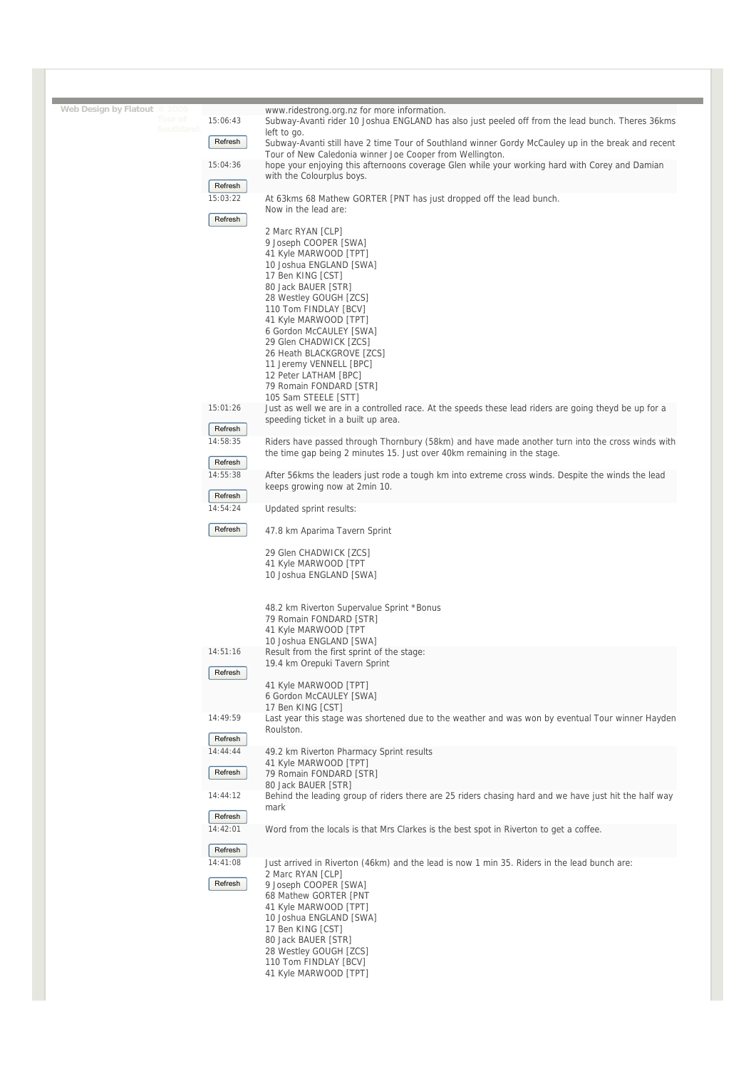| Web Design by Flatout © 2009 |                     | www.ridestrong.org.nz for more information.                                                                                                                |
|------------------------------|---------------------|------------------------------------------------------------------------------------------------------------------------------------------------------------|
| Southland.                   | 15:06:43            | Subway-Avanti rider 10 Joshua ENGLAND has also just peeled off from the lead bunch. Theres 36kms                                                           |
|                              | Refresh             | left to go.<br>Subway-Avanti still have 2 time Tour of Southland winner Gordy McCauley up in the break and recent                                          |
|                              | 15:04:36            | Tour of New Caledonia winner Joe Cooper from Wellington.<br>hope your enjoying this afternoons coverage Glen while your working hard with Corey and Damian |
|                              |                     | with the Colourplus boys.                                                                                                                                  |
|                              | Refresh             |                                                                                                                                                            |
|                              | 15:03:22            | At 63kms 68 Mathew GORTER [PNT has just dropped off the lead bunch.<br>Now in the lead are:                                                                |
|                              | Refresh             |                                                                                                                                                            |
|                              |                     | 2 Marc RYAN [CLP]                                                                                                                                          |
|                              |                     | 9 Joseph COOPER [SWA]                                                                                                                                      |
|                              |                     | 41 Kyle MARWOOD [TPT]<br>10 Joshua ENGLAND [SWA]                                                                                                           |
|                              |                     | 17 Ben KING [CST]                                                                                                                                          |
|                              |                     | 80 Jack BAUER [STR]                                                                                                                                        |
|                              |                     | 28 Westley GOUGH [ZCS]<br>110 Tom FINDLAY [BCV]                                                                                                            |
|                              |                     | 41 Kyle MARWOOD [TPT]                                                                                                                                      |
|                              |                     | 6 Gordon McCAULEY [SWA]<br>29 Glen CHADWICK [ZCS]                                                                                                          |
|                              |                     | 26 Heath BLACKGROVE [ZCS]                                                                                                                                  |
|                              |                     | 11 Jeremy VENNELL [BPC]                                                                                                                                    |
|                              |                     | 12 Peter LATHAM [BPC]<br>79 Romain FONDARD [STR]                                                                                                           |
|                              |                     | 105 Sam STEELE [STT]                                                                                                                                       |
|                              | 15:01:26            | Just as well we are in a controlled race. At the speeds these lead riders are going theyd be up for a                                                      |
|                              | Refresh             | speeding ticket in a built up area.                                                                                                                        |
|                              | 14:58:35            | Riders have passed through Thornbury (58km) and have made another turn into the cross winds with                                                           |
|                              | Refresh             | the time gap being 2 minutes 15. Just over 40km remaining in the stage.                                                                                    |
|                              | 14:55:38            | After 56kms the leaders just rode a tough km into extreme cross winds. Despite the winds the lead                                                          |
|                              | Refresh             | keeps growing now at 2min 10.                                                                                                                              |
|                              | 14:54:24            | Updated sprint results:                                                                                                                                    |
|                              | Refresh             | 47.8 km Aparima Tavern Sprint                                                                                                                              |
|                              |                     | 29 Glen CHADWICK [ZCS]                                                                                                                                     |
|                              |                     | 41 Kyle MARWOOD [TPT                                                                                                                                       |
|                              |                     | 10 Joshua ENGLAND [SWA]                                                                                                                                    |
|                              |                     |                                                                                                                                                            |
|                              |                     | 48.2 km Riverton Supervalue Sprint *Bonus<br>79 Romain FONDARD [STR]                                                                                       |
|                              |                     | 41 Kyle MARWOOD [TPT                                                                                                                                       |
|                              | 14:51:16            | 10 Joshua ENGLAND [SWA]                                                                                                                                    |
|                              |                     | Result from the first sprint of the stage:<br>19.4 km Orepuki Tavern Sprint                                                                                |
|                              | Refresh             |                                                                                                                                                            |
|                              |                     | 41 Kyle MARWOOD [TPT]<br>6 Gordon McCAULEY [SWA]                                                                                                           |
|                              |                     | 17 Ben KING [CST]                                                                                                                                          |
|                              | 14:49:59            | Last year this stage was shortened due to the weather and was won by eventual Tour winner Hayden                                                           |
|                              | Refresh             | Roulston.                                                                                                                                                  |
|                              | 14:44:44            | 49.2 km Riverton Pharmacy Sprint results                                                                                                                   |
|                              |                     |                                                                                                                                                            |
|                              |                     | 41 Kyle MARWOOD [TPT]                                                                                                                                      |
|                              | Refresh             | 79 Romain FONDARD [STR]<br>80 Jack BAUER [STR]                                                                                                             |
|                              | 14:44:12            |                                                                                                                                                            |
|                              |                     | mark                                                                                                                                                       |
|                              | Refresh<br>14:42:01 | Word from the locals is that Mrs Clarkes is the best spot in Riverton to get a coffee.                                                                     |
|                              |                     |                                                                                                                                                            |
|                              | Refresh             |                                                                                                                                                            |
|                              | 14:41:08            | Just arrived in Riverton (46km) and the lead is now 1 min 35. Riders in the lead bunch are:<br>2 Marc RYAN [CLP]                                           |
|                              | Refresh             | 9 Joseph COOPER [SWA]                                                                                                                                      |
|                              |                     | 68 Mathew GORTER [PNT                                                                                                                                      |
|                              |                     | 41 Kyle MARWOOD [TPT]                                                                                                                                      |
|                              |                     | 10 Joshua ENGLAND [SWA]<br>17 Ben KING [CST]                                                                                                               |
|                              |                     | Behind the leading group of riders there are 25 riders chasing hard and we have just hit the half way<br>80 Jack BAUER [STR]                               |
|                              |                     | 28 Westley GOUGH [ZCS]<br>110 Tom FINDLAY [BCV]                                                                                                            |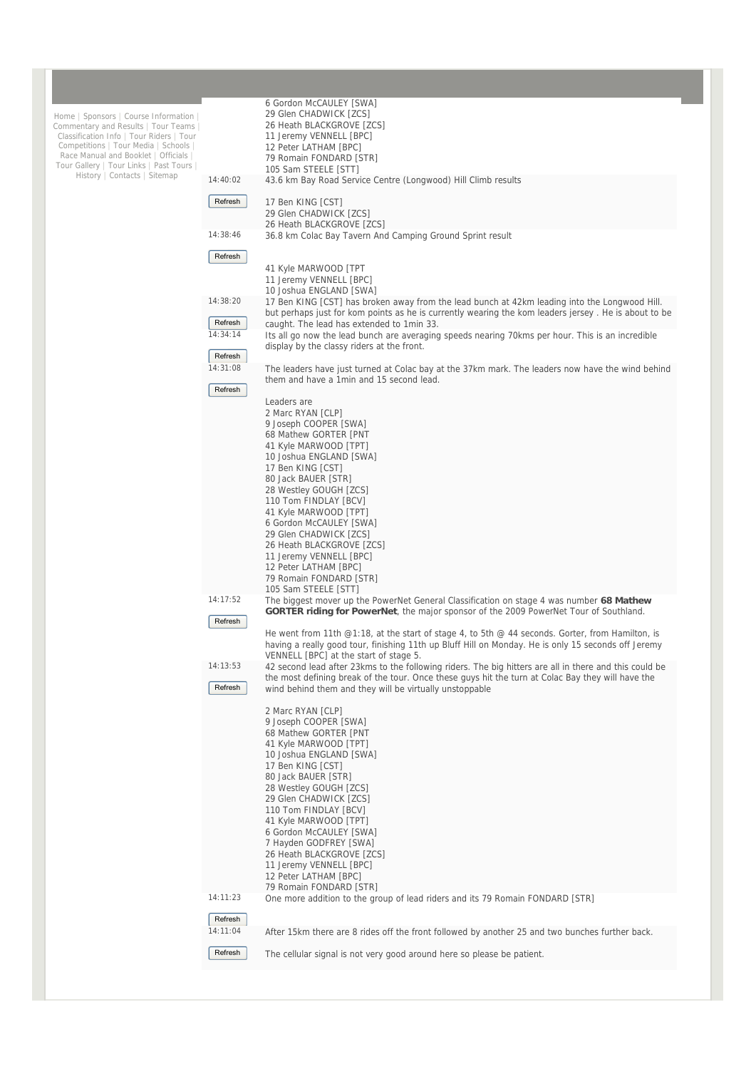|                                                                                 |          | 6 Gordon McCAULEY [SWA]                                                                                                                        |
|---------------------------------------------------------------------------------|----------|------------------------------------------------------------------------------------------------------------------------------------------------|
| Home   Sponsors   Course Information                                            |          | 29 Glen CHADWICK [ZCS]                                                                                                                         |
| Commentary and Results   Tour Teams<br>Classification Info   Tour Riders   Tour |          | 26 Heath BLACKGROVE [ZCS]<br>11 Jeremy VENNELL [BPC]                                                                                           |
| Competitions   Tour Media   Schools                                             |          | 12 Peter LATHAM [BPC]                                                                                                                          |
| Race Manual and Booklet   Officials                                             |          | 79 Romain FONDARD [STR]                                                                                                                        |
| Tour Gallery   Tour Links   Past Tours  <br>History   Contacts   Sitemap        |          | 105 Sam STEELE [STT]                                                                                                                           |
|                                                                                 | 14:40:02 | 43.6 km Bay Road Service Centre (Longwood) Hill Climb results                                                                                  |
|                                                                                 | Refresh  |                                                                                                                                                |
|                                                                                 |          | 17 Ben KING [CST]<br>29 Glen CHADWICK [ZCS]                                                                                                    |
|                                                                                 |          | 26 Heath BLACKGROVE [ZCS]                                                                                                                      |
|                                                                                 | 14:38:46 | 36.8 km Colac Bay Tavern And Camping Ground Sprint result                                                                                      |
|                                                                                 |          |                                                                                                                                                |
|                                                                                 | Refresh  | 41 Kyle MARWOOD [TPT                                                                                                                           |
|                                                                                 |          | 11 Jeremy VENNELL [BPC]                                                                                                                        |
|                                                                                 |          | 10 Joshua ENGLAND [SWA]                                                                                                                        |
|                                                                                 | 14:38:20 | 17 Ben KING [CST] has broken away from the lead bunch at 42km leading into the Longwood Hill.                                                  |
|                                                                                 |          | but perhaps just for kom points as he is currently wearing the kom leaders jersey. He is about to be                                           |
|                                                                                 | Refresh  | caught. The lead has extended to 1 min 33.                                                                                                     |
|                                                                                 | 14:34:14 | Its all go now the lead bunch are averaging speeds nearing 70kms per hour. This is an incredible<br>display by the classy riders at the front. |
|                                                                                 | Refresh  |                                                                                                                                                |
|                                                                                 | 14:31:08 | The leaders have just turned at Colac bay at the 37km mark. The leaders now have the wind behind                                               |
|                                                                                 |          | them and have a 1min and 15 second lead.                                                                                                       |
|                                                                                 | Refresh  |                                                                                                                                                |
|                                                                                 |          | Leaders are<br>2 Marc RYAN [CLP]                                                                                                               |
|                                                                                 |          | 9 Joseph COOPER [SWA]                                                                                                                          |
|                                                                                 |          | 68 Mathew GORTER [PNT                                                                                                                          |
|                                                                                 |          | 41 Kyle MARWOOD [TPT]                                                                                                                          |
|                                                                                 |          | 10 Joshua ENGLAND [SWA]                                                                                                                        |
|                                                                                 |          | 17 Ben KING [CST]<br>80 Jack BAUER [STR]                                                                                                       |
|                                                                                 |          | 28 Westley GOUGH [ZCS]                                                                                                                         |
|                                                                                 |          | 110 Tom FINDLAY [BCV]                                                                                                                          |
|                                                                                 |          | 41 Kyle MARWOOD [TPT]                                                                                                                          |
|                                                                                 |          | 6 Gordon McCAULEY [SWA]                                                                                                                        |
|                                                                                 |          | 29 Glen CHADWICK [ZCS]<br>26 Heath BLACKGROVE [ZCS]                                                                                            |
|                                                                                 |          | 11 Jeremy VENNELL [BPC]                                                                                                                        |
|                                                                                 |          |                                                                                                                                                |
|                                                                                 |          | 12 Peter LATHAM [BPC]                                                                                                                          |
|                                                                                 |          | 79 Romain FONDARD [STR]                                                                                                                        |
|                                                                                 |          | 105 Sam STEELE [STT]                                                                                                                           |
|                                                                                 | 14:17:52 | The biggest mover up the PowerNet General Classification on stage 4 was number 68 Mathew                                                       |
|                                                                                 | Refresh  | <b>GORTER riding for PowerNet</b> , the major sponsor of the 2009 PowerNet Tour of Southland.                                                  |
|                                                                                 |          | He went from 11th @1:18, at the start of stage 4, to 5th @ 44 seconds. Gorter, from Hamilton, is                                               |
|                                                                                 |          | having a really good tour, finishing 11th up Bluff Hill on Monday. He is only 15 seconds off Jeremy                                            |
|                                                                                 |          | VENNELL [BPC] at the start of stage 5.                                                                                                         |
|                                                                                 | 14:13:53 | 42 second lead after 23kms to the following riders. The big hitters are all in there and this could be                                         |
|                                                                                 | Refresh  | the most defining break of the tour. Once these guys hit the turn at Colac Bay they will have the                                              |
|                                                                                 |          | wind behind them and they will be virtually unstoppable                                                                                        |
|                                                                                 |          | 2 Marc RYAN [CLP]                                                                                                                              |
|                                                                                 |          | 9 Joseph COOPER [SWA]                                                                                                                          |
|                                                                                 |          | 68 Mathew GORTER [PNT                                                                                                                          |
|                                                                                 |          | 41 Kyle MARWOOD [TPT]                                                                                                                          |
|                                                                                 |          | 10 Joshua ENGLAND [SWA]<br>17 Ben KING [CST]                                                                                                   |
|                                                                                 |          | 80 Jack BAUER [STR]                                                                                                                            |
|                                                                                 |          | 28 Westley GOUGH [ZCS]                                                                                                                         |
|                                                                                 |          | 29 Glen CHADWICK [ZCS]                                                                                                                         |
|                                                                                 |          | 110 Tom FINDLAY [BCV]                                                                                                                          |
|                                                                                 |          | 41 Kyle MARWOOD [TPT]                                                                                                                          |
|                                                                                 |          | 6 Gordon McCAULEY [SWA]<br>7 Hayden GODFREY [SWA]                                                                                              |
|                                                                                 |          | 26 Heath BLACKGROVE [ZCS]                                                                                                                      |
|                                                                                 |          | 11 Jeremy VENNELL [BPC]                                                                                                                        |
|                                                                                 |          | 12 Peter LATHAM [BPC]                                                                                                                          |
|                                                                                 |          | 79 Romain FONDARD [STR]                                                                                                                        |
|                                                                                 | 14:11:23 | One more addition to the group of lead riders and its 79 Romain FONDARD [STR]                                                                  |
|                                                                                 | Refresh  |                                                                                                                                                |
|                                                                                 | 14:11:04 | After 15km there are 8 rides off the front followed by another 25 and two bunches further back.                                                |
|                                                                                 |          |                                                                                                                                                |
|                                                                                 | Refresh  | The cellular signal is not very good around here so please be patient.                                                                         |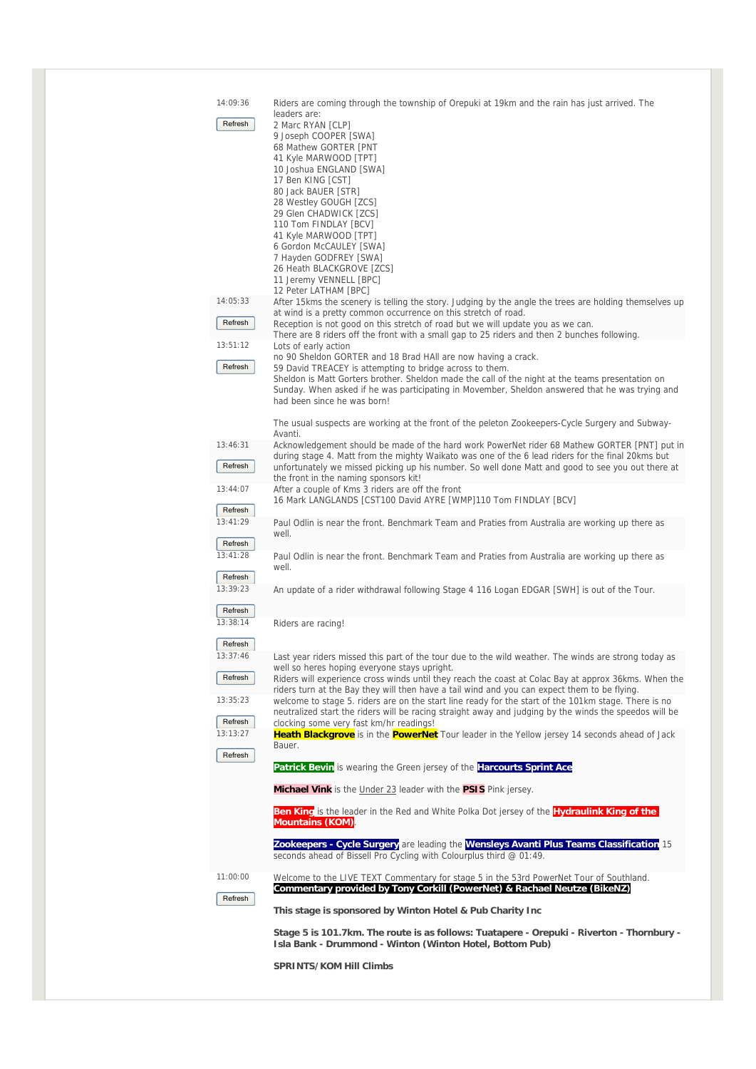| 14:09:36            | Riders are coming through the township of Orepuki at 19km and the rain has just arrived. The                                                                                                         |
|---------------------|------------------------------------------------------------------------------------------------------------------------------------------------------------------------------------------------------|
| Refresh             | leaders are:<br>2 Marc RYAN [CLP]                                                                                                                                                                    |
|                     | 9 Joseph COOPER [SWA]<br>68 Mathew GORTER [PNT                                                                                                                                                       |
|                     | 41 Kyle MARWOOD [TPT]<br>10 Joshua ENGLAND [SWA]                                                                                                                                                     |
|                     | 17 Ben KING [CST]                                                                                                                                                                                    |
|                     | 80 Jack BAUER [STR]<br>28 Westley GOUGH [ZCS]                                                                                                                                                        |
|                     | 29 Glen CHADWICK [ZCS]<br>110 Tom FINDLAY [BCV]                                                                                                                                                      |
|                     | 41 Kyle MARWOOD [TPT]<br>6 Gordon McCAULEY [SWA]                                                                                                                                                     |
|                     | 7 Hayden GODFREY [SWA]                                                                                                                                                                               |
|                     | 26 Heath BLACKGROVE [ZCS]<br>11 Jeremy VENNELL [BPC]                                                                                                                                                 |
| 14:05:33            | 12 Peter LATHAM [BPC]<br>After 15kms the scenery is telling the story. Judging by the angle the trees are holding themselves up                                                                      |
| Refresh             | at wind is a pretty common occurrence on this stretch of road.<br>Reception is not good on this stretch of road but we will update you as we can.                                                    |
|                     | There are 8 riders off the front with a small gap to 25 riders and then 2 bunches following.                                                                                                         |
| 13:51:12            | Lots of early action<br>no 90 Sheldon GORTER and 18 Brad HAII are now having a crack.                                                                                                                |
| Refresh             | 59 David TREACEY is attempting to bridge across to them.<br>Sheldon is Matt Gorters brother. Sheldon made the call of the night at the teams presentation on                                         |
|                     | Sunday. When asked if he was participating in Movember, Sheldon answered that he was trying and<br>had been since he was born!                                                                       |
|                     | The usual suspects are working at the front of the peleton Zookeepers-Cycle Surgery and Subway-                                                                                                      |
| 13:46:31            | Avanti.                                                                                                                                                                                              |
|                     | Acknowledgement should be made of the hard work PowerNet rider 68 Mathew GORTER [PNT] put in<br>during stage 4. Matt from the mighty Waikato was one of the 6 lead riders for the final 20kms but    |
| Refresh             | unfortunately we missed picking up his number. So well done Matt and good to see you out there at<br>the front in the naming sponsors kit!                                                           |
| 13:44:07            | After a couple of Kms 3 riders are off the front<br>16 Mark LANGLANDS [CST100 David AYRE [WMP]110 Tom FINDLAY [BCV]                                                                                  |
| Refresh<br>13:41:29 | Paul Odlin is near the front. Benchmark Team and Praties from Australia are working up there as                                                                                                      |
| Refresh             | well.                                                                                                                                                                                                |
| 13:41:28            | Paul Odlin is near the front. Benchmark Team and Praties from Australia are working up there as                                                                                                      |
| Refresh             | well.                                                                                                                                                                                                |
| 13:39:23            | An update of a rider withdrawal following Stage 4 116 Logan EDGAR [SWH] is out of the Tour.                                                                                                          |
| Refresh<br>13:38:14 | Riders are racing!                                                                                                                                                                                   |
| Refresh             |                                                                                                                                                                                                      |
| 13:37:46            | Last year riders missed this part of the tour due to the wild weather. The winds are strong today as                                                                                                 |
| Refresh             | well so heres hoping everyone stays upright.<br>Riders will experience cross winds until they reach the coast at Colac Bay at approx 36kms. When the                                                 |
| 13:35:23            | riders turn at the Bay they will then have a tail wind and you can expect them to be flying.<br>welcome to stage 5. riders are on the start line ready for the start of the 101km stage. There is no |
| Refresh             | neutralized start the riders will be racing straight away and judging by the winds the speedos will be<br>clocking some very fast km/hr readings!                                                    |
| 13:13:27            | <b>Heath Blackgrove</b> is in the <b>PowerNet</b> Tour leader in the Yellow jersey 14 seconds ahead of Jack<br>Bauer.                                                                                |
| Refresh             | Patrick Bevin is wearing the Green jersey of the Harcourts Sprint Ace                                                                                                                                |
|                     | Michael Vink is the Under 23 leader with the PSIS Pink jersey.                                                                                                                                       |
|                     |                                                                                                                                                                                                      |
|                     | <b>Ben King</b> is the leader in the Red and White Polka Dot jersey of the <b>Hydraulink King of the</b><br><b>Mountains (KOM)</b>                                                                   |
|                     | Zookeepers - Cycle Surgery are leading the Wensleys Avanti Plus Teams Classification 15                                                                                                              |
|                     | seconds ahead of Bissell Pro Cycling with Colourplus third @ 01:49.                                                                                                                                  |
| 11:00:00            | Welcome to the LIVE TEXT Commentary for stage 5 in the 53rd PowerNet Tour of Southland.<br>Commentary provided by Tony Corkill (PowerNet) & Rachael Neutze (BikeNZ)                                  |
| Refresh             | This stage is sponsored by Winton Hotel & Pub Charity Inc                                                                                                                                            |
|                     | Stage 5 is 101.7km. The route is as follows: Tuatapere - Orepuki - Riverton - Thornbury -                                                                                                            |

**SPRINTS/KOM Hill Climbs**

**Isla Bank - Drummond - Winton (Winton Hotel, Bottom Pub)**